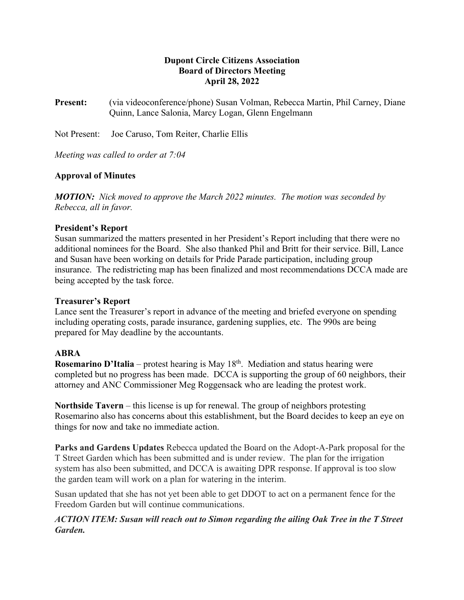# **Dupont Circle Citizens Association Board of Directors Meeting April 28, 2022**

**Present:** (via videoconference/phone) Susan Volman, Rebecca Martin, Phil Carney, Diane Quinn, Lance Salonia, Marcy Logan, Glenn Engelmann

Not Present: Joe Caruso, Tom Reiter, Charlie Ellis

*Meeting was called to order at 7:04*

# **Approval of Minutes**

*MOTION: Nick moved to approve the March 2022 minutes. The motion was seconded by Rebecca, all in favor.*

#### **President's Report**

Susan summarized the matters presented in her President's Report including that there were no additional nominees for the Board. She also thanked Phil and Britt for their service. Bill, Lance and Susan have been working on details for Pride Parade participation, including group insurance. The redistricting map has been finalized and most recommendations DCCA made are being accepted by the task force.

#### **Treasurer's Report**

Lance sent the Treasurer's report in advance of the meeting and briefed everyone on spending including operating costs, parade insurance, gardening supplies, etc. The 990s are being prepared for May deadline by the accountants.

#### **ABRA**

**Rosemarino D'Italia** – protest hearing is May 18<sup>th</sup>. Mediation and status hearing were completed but no progress has been made. DCCA is supporting the group of 60 neighbors, their attorney and ANC Commissioner Meg Roggensack who are leading the protest work.

**Northside Tavern** – this license is up for renewal. The group of neighbors protesting Rosemarino also has concerns about this establishment, but the Board decides to keep an eye on things for now and take no immediate action.

**Parks and Gardens Updates** Rebecca updated the Board on the Adopt-A-Park proposal for the T Street Garden which has been submitted and is under review. The plan for the irrigation system has also been submitted, and DCCA is awaiting DPR response. If approval is too slow the garden team will work on a plan for watering in the interim.

Susan updated that she has not yet been able to get DDOT to act on a permanent fence for the Freedom Garden but will continue communications.

# *ACTION ITEM: Susan will reach out to Simon regarding the ailing Oak Tree in the T Street Garden.*